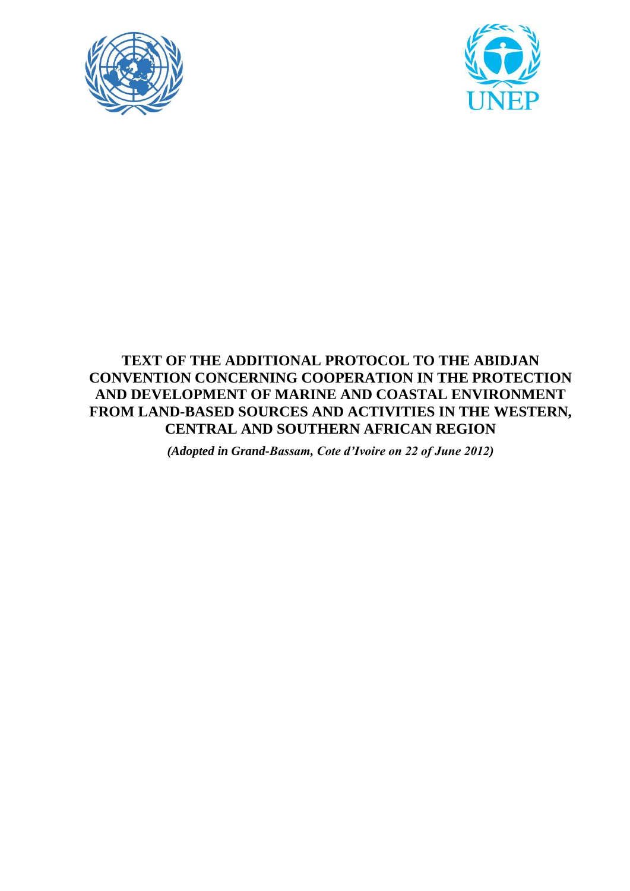



# **TEXT OF THE ADDITIONAL PROTOCOL TO THE ABIDJAN CONVENTION CONCERNING COOPERATION IN THE PROTECTION AND DEVELOPMENT OF MARINE AND COASTAL ENVIRONMENT FROM LAND-BASED SOURCES AND ACTIVITIES IN THE WESTERN, CENTRAL AND SOUTHERN AFRICAN REGION**

*(Adopted in Grand-Bassam, Cote d'Ivoire on 22 of June 2012)*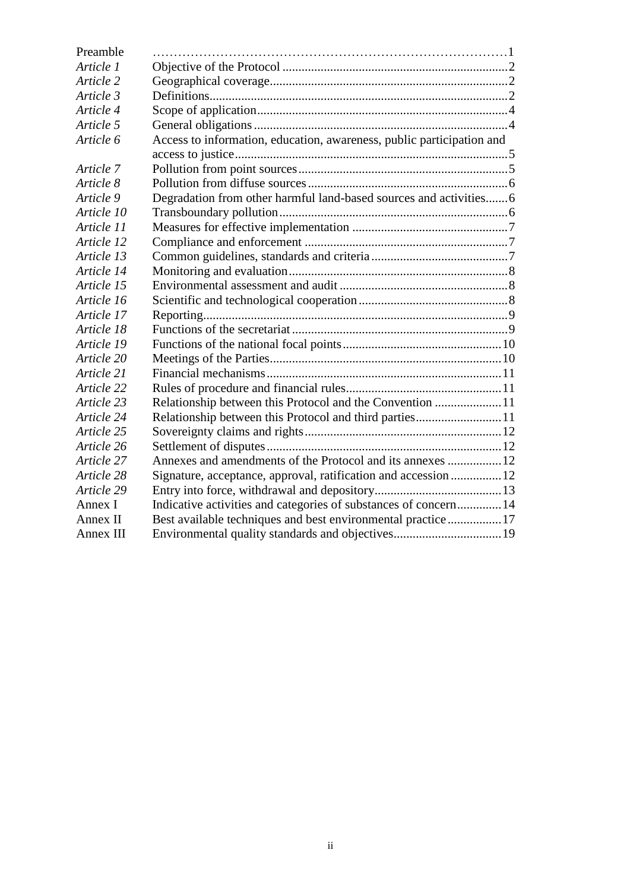| Preamble   |                                                                       |  |
|------------|-----------------------------------------------------------------------|--|
| Article 1  |                                                                       |  |
| Article 2  |                                                                       |  |
| Article 3  |                                                                       |  |
| Article 4  |                                                                       |  |
| Article 5  |                                                                       |  |
| Article 6  | Access to information, education, awareness, public participation and |  |
|            |                                                                       |  |
| Article 7  |                                                                       |  |
| Article 8  |                                                                       |  |
| Article 9  | Degradation from other harmful land-based sources and activities 6    |  |
| Article 10 |                                                                       |  |
| Article 11 |                                                                       |  |
| Article 12 |                                                                       |  |
| Article 13 |                                                                       |  |
| Article 14 |                                                                       |  |
| Article 15 |                                                                       |  |
| Article 16 |                                                                       |  |
| Article 17 |                                                                       |  |
| Article 18 |                                                                       |  |
| Article 19 |                                                                       |  |
| Article 20 |                                                                       |  |
| Article 21 |                                                                       |  |
| Article 22 |                                                                       |  |
| Article 23 | Relationship between this Protocol and the Convention 11              |  |
| Article 24 | Relationship between this Protocol and third parties11                |  |
| Article 25 |                                                                       |  |
| Article 26 |                                                                       |  |
| Article 27 | Annexes and amendments of the Protocol and its annexes  12            |  |
| Article 28 |                                                                       |  |
| Article 29 |                                                                       |  |
| Annex I    | Indicative activities and categories of substances of concern 14      |  |
| Annex II   | Best available techniques and best environmental practice  17         |  |
| Annex III  |                                                                       |  |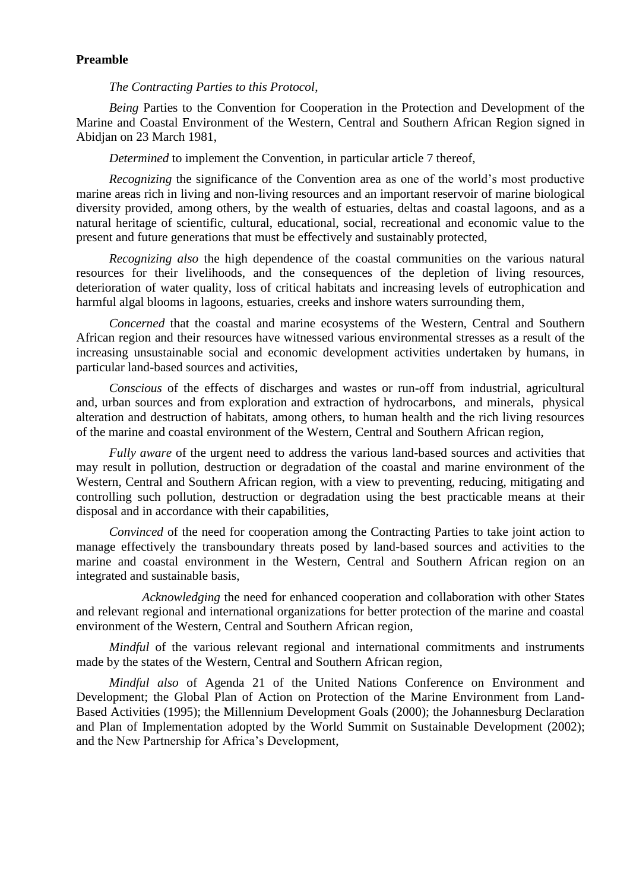#### **Preamble**

#### *The Contracting Parties to this Protocol*,

*Being* Parties to the Convention for Cooperation in the Protection and Development of the Marine and Coastal Environment of the Western, Central and Southern African Region signed in Abidjan on 23 March 1981,

*Determined* to implement the Convention, in particular article 7 thereof,

*Recognizing* the significance of the Convention area as one of the world's most productive marine areas rich in living and non-living resources and an important reservoir of marine biological diversity provided, among others, by the wealth of estuaries, deltas and coastal lagoons, and as a natural heritage of scientific, cultural, educational, social, recreational and economic value to the present and future generations that must be effectively and sustainably protected,

*Recognizing also* the high dependence of the coastal communities on the various natural resources for their livelihoods, and the consequences of the depletion of living resources, deterioration of water quality, loss of critical habitats and increasing levels of eutrophication and harmful algal blooms in lagoons, estuaries, creeks and inshore waters surrounding them,

*Concerned* that the coastal and marine ecosystems of the Western, Central and Southern African region and their resources have witnessed various environmental stresses as a result of the increasing unsustainable social and economic development activities undertaken by humans, in particular land-based sources and activities,

*Conscious* of the effects of discharges and wastes or run-off from industrial, agricultural and, urban sources and from exploration and extraction of hydrocarbons, and minerals, physical alteration and destruction of habitats, among others, to human health and the rich living resources of the marine and coastal environment of the Western, Central and Southern African region,

*Fully aware* of the urgent need to address the various land-based sources and activities that may result in pollution, destruction or degradation of the coastal and marine environment of the Western, Central and Southern African region, with a view to preventing, reducing, mitigating and controlling such pollution, destruction or degradation using the best practicable means at their disposal and in accordance with their capabilities,

*Convinced* of the need for cooperation among the Contracting Parties to take joint action to manage effectively the transboundary threats posed by land-based sources and activities to the marine and coastal environment in the Western, Central and Southern African region on an integrated and sustainable basis,

*Acknowledging* the need for enhanced cooperation and collaboration with other States and relevant regional and international organizations for better protection of the marine and coastal environment of the Western, Central and Southern African region,

*Mindful* of the various relevant regional and international commitments and instruments made by the states of the Western, Central and Southern African region,

*Mindful also* of Agenda 21 of the United Nations Conference on Environment and Development; the Global Plan of Action on Protection of the Marine Environment from Land-Based Activities (1995); the Millennium Development Goals (2000); the Johannesburg Declaration and Plan of Implementation adopted by the World Summit on Sustainable Development (2002); and the New Partnership for Africa's Development,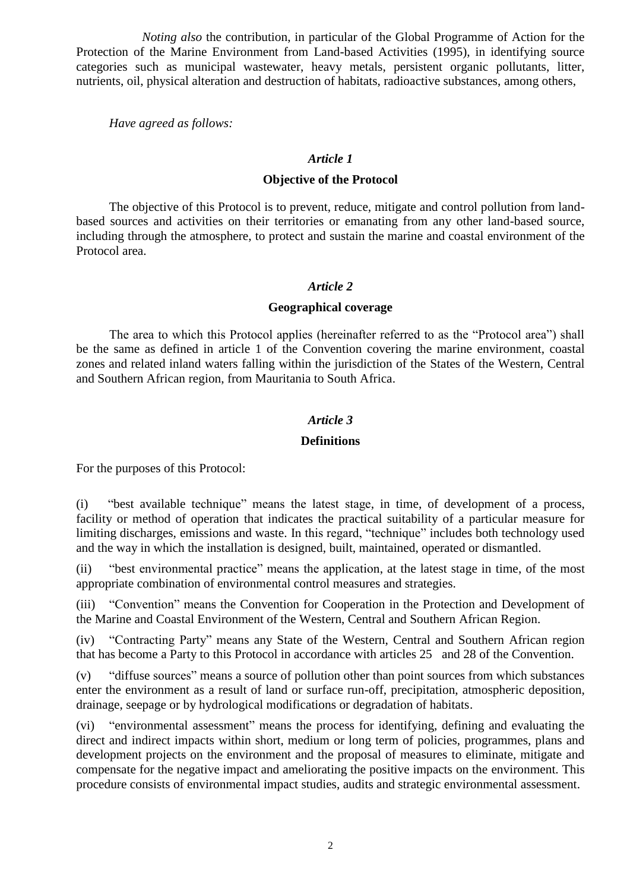*Noting also* the contribution, in particular of the Global Programme of Action for the Protection of the Marine Environment from Land-based Activities (1995), in identifying source categories such as municipal wastewater, heavy metals, persistent organic pollutants, litter, nutrients, oil, physical alteration and destruction of habitats, radioactive substances, among others,

*Have agreed as follows:*

#### *Article 1*

#### **Objective of the Protocol**

The objective of this Protocol is to prevent, reduce, mitigate and control pollution from landbased sources and activities on their territories or emanating from any other land-based source, including through the atmosphere, to protect and sustain the marine and coastal environment of the Protocol area.

#### *Article 2*

#### **Geographical coverage**

The area to which this Protocol applies (hereinafter referred to as the "Protocol area") shall be the same as defined in article 1 of the Convention covering the marine environment, coastal zones and related inland waters falling within the jurisdiction of the States of the Western, Central and Southern African region, from Mauritania to South Africa.

#### *Article 3*

#### **Definitions**

For the purposes of this Protocol:

(i) "best available technique" means the latest stage, in time, of development of a process, facility or method of operation that indicates the practical suitability of a particular measure for limiting discharges, emissions and waste. In this regard, "technique" includes both technology used and the way in which the installation is designed, built, maintained, operated or dismantled.

(ii) "best environmental practice" means the application, at the latest stage in time, of the most appropriate combination of environmental control measures and strategies.

(iii) "Convention" means the Convention for Cooperation in the Protection and Development of the Marine and Coastal Environment of the Western, Central and Southern African Region.

(iv) "Contracting Party" means any State of the Western, Central and Southern African region that has become a Party to this Protocol in accordance with articles 25 and 28 of the Convention.

(v) "diffuse sources" means a source of pollution other than point sources from which substances enter the environment as a result of land or surface run-off, precipitation, atmospheric deposition, drainage, seepage or by hydrological modifications or degradation of habitats.

(vi) "environmental assessment" means the process for identifying, defining and evaluating the direct and indirect impacts within short, medium or long term of policies, programmes, plans and development projects on the environment and the proposal of measures to eliminate, mitigate and compensate for the negative impact and ameliorating the positive impacts on the environment. This procedure consists of environmental impact studies, audits and strategic environmental assessment.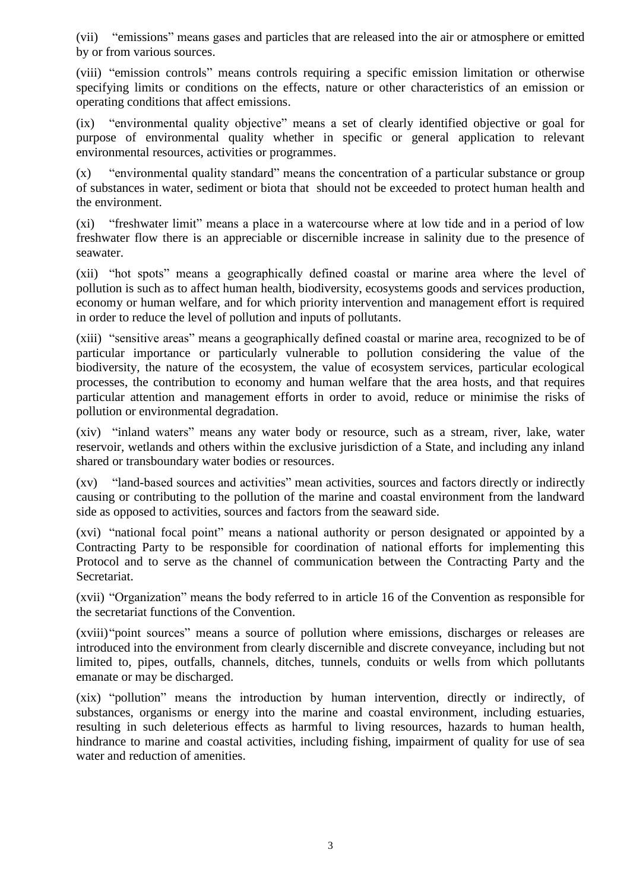(vii) "emissions" means gases and particles that are released into the air or atmosphere or emitted by or from various sources.

(viii) "emission controls" means controls requiring a specific emission limitation or otherwise specifying limits or conditions on the effects, nature or other characteristics of an emission or operating conditions that affect emissions.

(ix) "environmental quality objective" means a set of clearly identified objective or goal for purpose of environmental quality whether in specific or general application to relevant environmental resources, activities or programmes.

(x) "environmental quality standard" means the concentration of a particular substance or group of substances in water, sediment or biota that should not be exceeded to protect human health and the environment.

(xi) "freshwater limit" means a place in a watercourse where at low tide and in a period of low freshwater flow there is an appreciable or discernible increase in salinity due to the presence of seawater.

(xii) "hot spots" means a geographically defined coastal or marine area where the level of pollution is such as to affect human health, biodiversity, ecosystems goods and services production, economy or human welfare, and for which priority intervention and management effort is required in order to reduce the level of pollution and inputs of pollutants.

(xiii) "sensitive areas" means a geographically defined coastal or marine area, recognized to be of particular importance or particularly vulnerable to pollution considering the value of the biodiversity, the nature of the ecosystem, the value of ecosystem services, particular ecological processes, the contribution to economy and human welfare that the area hosts, and that requires particular attention and management efforts in order to avoid, reduce or minimise the risks of pollution or environmental degradation.

(xiv) "inland waters" means any water body or resource, such as a stream, river, lake, water reservoir, wetlands and others within the exclusive jurisdiction of a State, and including any inland shared or transboundary water bodies or resources.

(xv) "land-based sources and activities" mean activities, sources and factors directly or indirectly causing or contributing to the pollution of the marine and coastal environment from the landward side as opposed to activities, sources and factors from the seaward side.

(xvi) "national focal point" means a national authority or person designated or appointed by a Contracting Party to be responsible for coordination of national efforts for implementing this Protocol and to serve as the channel of communication between the Contracting Party and the Secretariat.

(xvii) "Organization" means the body referred to in article 16 of the Convention as responsible for the secretariat functions of the Convention.

(xviii)"point sources" means a source of pollution where emissions, discharges or releases are introduced into the environment from clearly discernible and discrete conveyance, including but not limited to, pipes, outfalls, channels, ditches, tunnels, conduits or wells from which pollutants emanate or may be discharged.

(xix) "pollution" means the introduction by human intervention, directly or indirectly, of substances, organisms or energy into the marine and coastal environment, including estuaries, resulting in such deleterious effects as harmful to living resources, hazards to human health, hindrance to marine and coastal activities, including fishing, impairment of quality for use of sea water and reduction of amenities.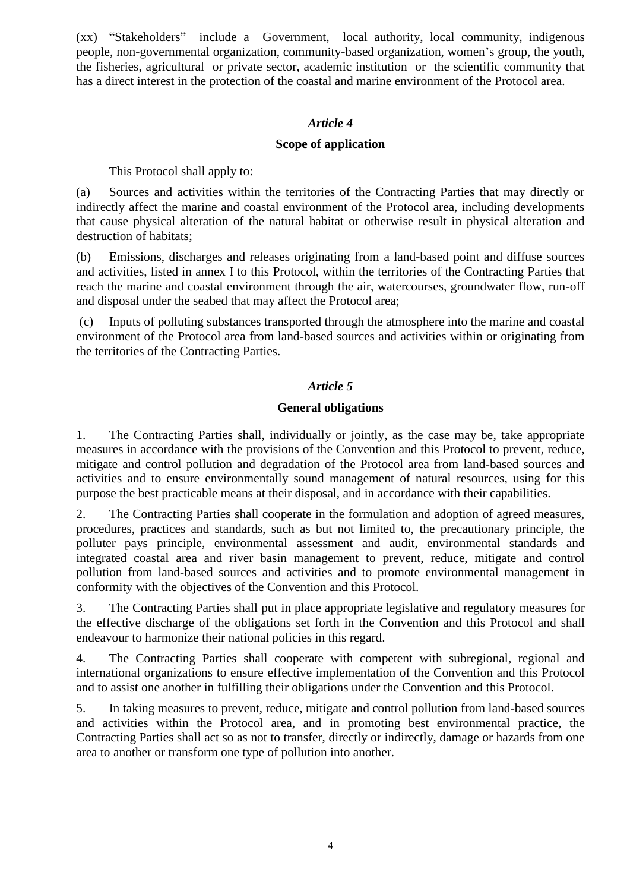(xx) "Stakeholders" include a Government, local authority, local community, indigenous people, non-governmental organization, community-based organization, women's group, the youth, the fisheries, agricultural or private sector, academic institution or the scientific community that has a direct interest in the protection of the coastal and marine environment of the Protocol area.

### *Article 4*

### **Scope of application**

This Protocol shall apply to:

(a) Sources and activities within the territories of the Contracting Parties that may directly or indirectly affect the marine and coastal environment of the Protocol area, including developments that cause physical alteration of the natural habitat or otherwise result in physical alteration and destruction of habitats;

(b) Emissions, discharges and releases originating from a land-based point and diffuse sources and activities, listed in annex I to this Protocol, within the territories of the Contracting Parties that reach the marine and coastal environment through the air, watercourses, groundwater flow, run-off and disposal under the seabed that may affect the Protocol area;

(c) Inputs of polluting substances transported through the atmosphere into the marine and coastal environment of the Protocol area from land-based sources and activities within or originating from the territories of the Contracting Parties.

### *Article 5*

### **General obligations**

1. The Contracting Parties shall, individually or jointly, as the case may be, take appropriate measures in accordance with the provisions of the Convention and this Protocol to prevent, reduce, mitigate and control pollution and degradation of the Protocol area from land-based sources and activities and to ensure environmentally sound management of natural resources, using for this purpose the best practicable means at their disposal, and in accordance with their capabilities.

2. The Contracting Parties shall cooperate in the formulation and adoption of agreed measures, procedures, practices and standards, such as but not limited to, the precautionary principle, the polluter pays principle, environmental assessment and audit, environmental standards and integrated coastal area and river basin management to prevent, reduce, mitigate and control pollution from land-based sources and activities and to promote environmental management in conformity with the objectives of the Convention and this Protocol.

3. The Contracting Parties shall put in place appropriate legislative and regulatory measures for the effective discharge of the obligations set forth in the Convention and this Protocol and shall endeavour to harmonize their national policies in this regard.

4. The Contracting Parties shall cooperate with competent with subregional, regional and international organizations to ensure effective implementation of the Convention and this Protocol and to assist one another in fulfilling their obligations under the Convention and this Protocol.

5. In taking measures to prevent, reduce, mitigate and control pollution from land-based sources and activities within the Protocol area, and in promoting best environmental practice, the Contracting Parties shall act so as not to transfer, directly or indirectly, damage or hazards from one area to another or transform one type of pollution into another.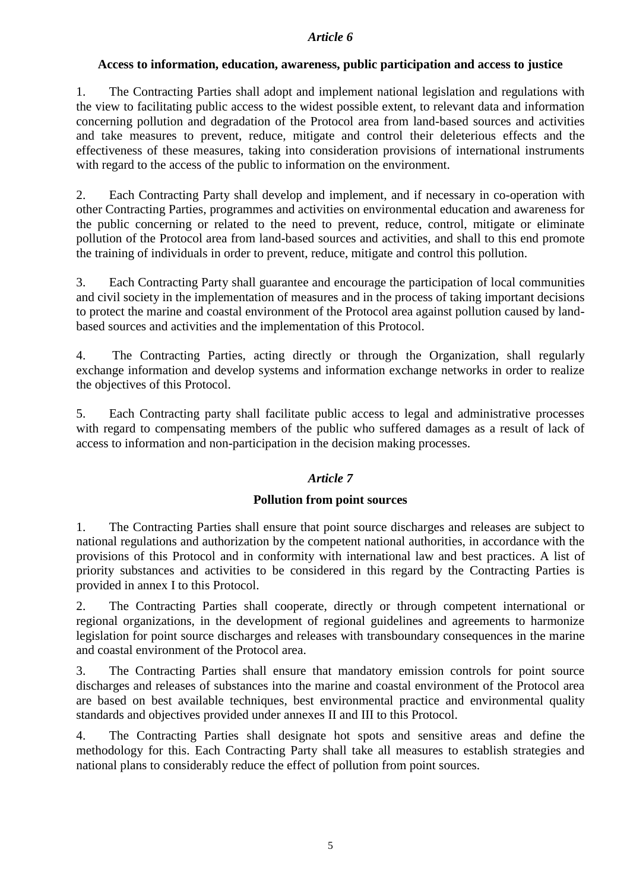### **Access to information, education, awareness, public participation and access to justice**

1. The Contracting Parties shall adopt and implement national legislation and regulations with the view to facilitating public access to the widest possible extent, to relevant data and information concerning pollution and degradation of the Protocol area from land-based sources and activities and take measures to prevent, reduce, mitigate and control their deleterious effects and the effectiveness of these measures, taking into consideration provisions of international instruments with regard to the access of the public to information on the environment.

2. Each Contracting Party shall develop and implement, and if necessary in co-operation with other Contracting Parties, programmes and activities on environmental education and awareness for the public concerning or related to the need to prevent, reduce, control, mitigate or eliminate pollution of the Protocol area from land-based sources and activities, and shall to this end promote the training of individuals in order to prevent, reduce, mitigate and control this pollution.

3. Each Contracting Party shall guarantee and encourage the participation of local communities and civil society in the implementation of measures and in the process of taking important decisions to protect the marine and coastal environment of the Protocol area against pollution caused by landbased sources and activities and the implementation of this Protocol.

4. The Contracting Parties, acting directly or through the Organization, shall regularly exchange information and develop systems and information exchange networks in order to realize the objectives of this Protocol.

5. Each Contracting party shall facilitate public access to legal and administrative processes with regard to compensating members of the public who suffered damages as a result of lack of access to information and non-participation in the decision making processes.

### *Article 7*

#### **Pollution from point sources**

1. The Contracting Parties shall ensure that point source discharges and releases are subject to national regulations and authorization by the competent national authorities, in accordance with the provisions of this Protocol and in conformity with international law and best practices. A list of priority substances and activities to be considered in this regard by the Contracting Parties is provided in annex I to this Protocol.

2. The Contracting Parties shall cooperate, directly or through competent international or regional organizations, in the development of regional guidelines and agreements to harmonize legislation for point source discharges and releases with transboundary consequences in the marine and coastal environment of the Protocol area.

3. The Contracting Parties shall ensure that mandatory emission controls for point source discharges and releases of substances into the marine and coastal environment of the Protocol area are based on best available techniques, best environmental practice and environmental quality standards and objectives provided under annexes II and III to this Protocol.

4. The Contracting Parties shall designate hot spots and sensitive areas and define the methodology for this. Each Contracting Party shall take all measures to establish strategies and national plans to considerably reduce the effect of pollution from point sources.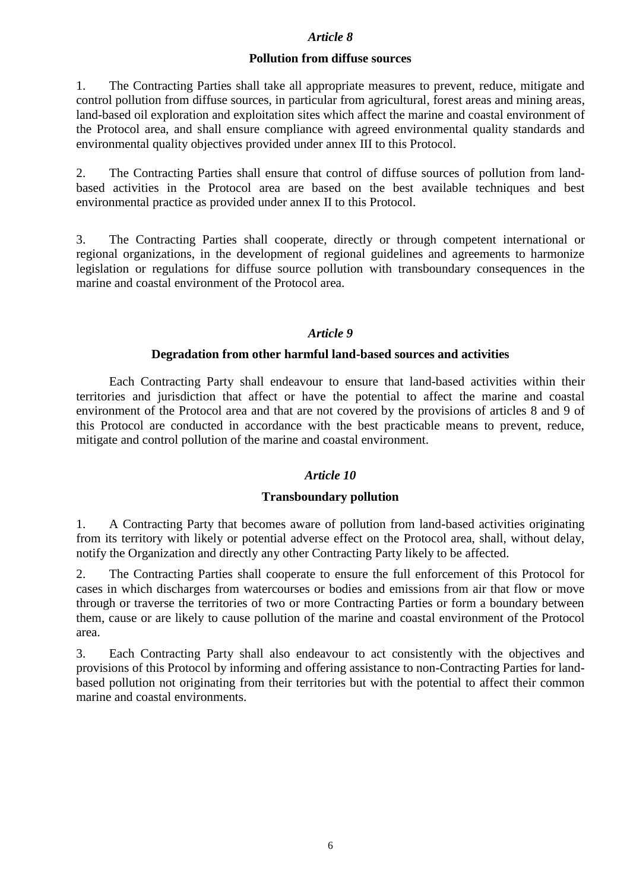### **Pollution from diffuse sources**

1. The Contracting Parties shall take all appropriate measures to prevent, reduce, mitigate and control pollution from diffuse sources, in particular from agricultural, forest areas and mining areas, land-based oil exploration and exploitation sites which affect the marine and coastal environment of the Protocol area, and shall ensure compliance with agreed environmental quality standards and environmental quality objectives provided under annex III to this Protocol.

2. The Contracting Parties shall ensure that control of diffuse sources of pollution from landbased activities in the Protocol area are based on the best available techniques and best environmental practice as provided under annex II to this Protocol.

3. The Contracting Parties shall cooperate, directly or through competent international or regional organizations, in the development of regional guidelines and agreements to harmonize legislation or regulations for diffuse source pollution with transboundary consequences in the marine and coastal environment of the Protocol area.

### *Article 9*

### **Degradation from other harmful land-based sources and activities**

Each Contracting Party shall endeavour to ensure that land-based activities within their territories and jurisdiction that affect or have the potential to affect the marine and coastal environment of the Protocol area and that are not covered by the provisions of articles 8 and 9 of this Protocol are conducted in accordance with the best practicable means to prevent, reduce, mitigate and control pollution of the marine and coastal environment.

### *Article 10*

### **Transboundary pollution**

1. A Contracting Party that becomes aware of pollution from land-based activities originating from its territory with likely or potential adverse effect on the Protocol area, shall, without delay, notify the Organization and directly any other Contracting Party likely to be affected.

2. The Contracting Parties shall cooperate to ensure the full enforcement of this Protocol for cases in which discharges from watercourses or bodies and emissions from air that flow or move through or traverse the territories of two or more Contracting Parties or form a boundary between them, cause or are likely to cause pollution of the marine and coastal environment of the Protocol area.

3. Each Contracting Party shall also endeavour to act consistently with the objectives and provisions of this Protocol by informing and offering assistance to non-Contracting Parties for landbased pollution not originating from their territories but with the potential to affect their common marine and coastal environments.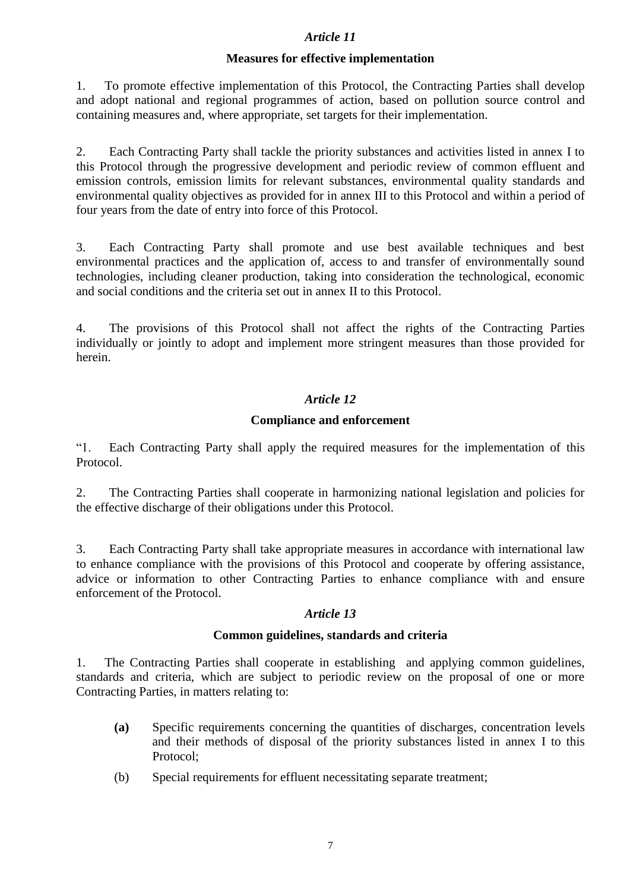## **Measures for effective implementation**

1. To promote effective implementation of this Protocol, the Contracting Parties shall develop and adopt national and regional programmes of action, based on pollution source control and containing measures and, where appropriate, set targets for their implementation.

2. Each Contracting Party shall tackle the priority substances and activities listed in annex I to this Protocol through the progressive development and periodic review of common effluent and emission controls, emission limits for relevant substances, environmental quality standards and environmental quality objectives as provided for in annex III to this Protocol and within a period of four years from the date of entry into force of this Protocol.

3. Each Contracting Party shall promote and use best available techniques and best environmental practices and the application of, access to and transfer of environmentally sound technologies, including cleaner production, taking into consideration the technological, economic and social conditions and the criteria set out in annex II to this Protocol.

4. The provisions of this Protocol shall not affect the rights of the Contracting Parties individually or jointly to adopt and implement more stringent measures than those provided for herein.

## *Article 12*

### **Compliance and enforcement**

"1. Each Contracting Party shall apply the required measures for the implementation of this Protocol.

2. The Contracting Parties shall cooperate in harmonizing national legislation and policies for the effective discharge of their obligations under this Protocol.

3. Each Contracting Party shall take appropriate measures in accordance with international law to enhance compliance with the provisions of this Protocol and cooperate by offering assistance, advice or information to other Contracting Parties to enhance compliance with and ensure enforcement of the Protocol.

### *Article 13*

### **Common guidelines, standards and criteria**

1. The Contracting Parties shall cooperate in establishing and applying common guidelines, standards and criteria, which are subject to periodic review on the proposal of one or more Contracting Parties, in matters relating to:

- **(a)** Specific requirements concerning the quantities of discharges, concentration levels and their methods of disposal of the priority substances listed in annex I to this Protocol;
- (b) Special requirements for effluent necessitating separate treatment;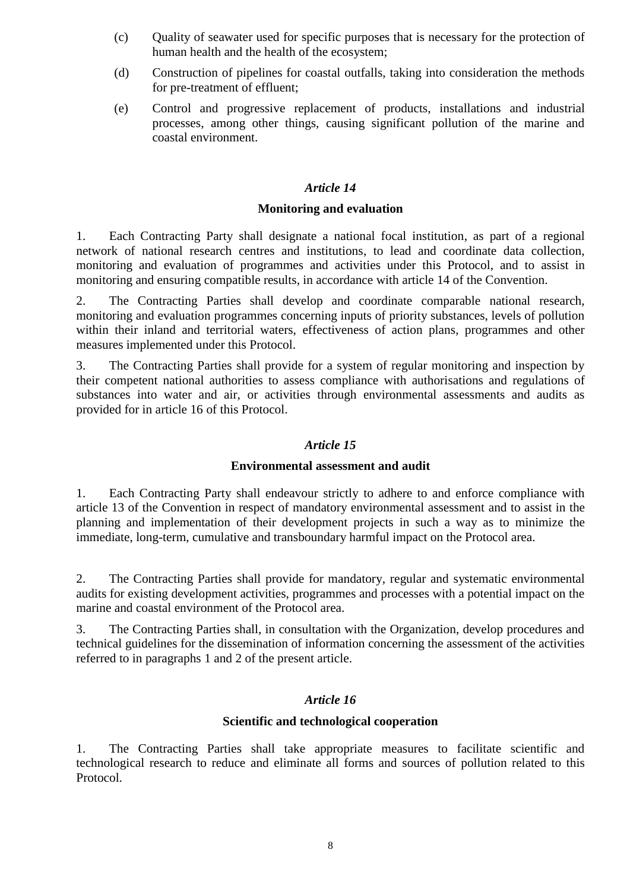- (c) Quality of seawater used for specific purposes that is necessary for the protection of human health and the health of the ecosystem;
- (d) Construction of pipelines for coastal outfalls, taking into consideration the methods for pre-treatment of effluent;
- (e) Control and progressive replacement of products, installations and industrial processes, among other things, causing significant pollution of the marine and coastal environment.

#### **Monitoring and evaluation**

1. Each Contracting Party shall designate a national focal institution, as part of a regional network of national research centres and institutions, to lead and coordinate data collection, monitoring and evaluation of programmes and activities under this Protocol, and to assist in monitoring and ensuring compatible results, in accordance with article 14 of the Convention.

2. The Contracting Parties shall develop and coordinate comparable national research, monitoring and evaluation programmes concerning inputs of priority substances, levels of pollution within their inland and territorial waters, effectiveness of action plans, programmes and other measures implemented under this Protocol.

3. The Contracting Parties shall provide for a system of regular monitoring and inspection by their competent national authorities to assess compliance with authorisations and regulations of substances into water and air, or activities through environmental assessments and audits as provided for in article 16 of this Protocol.

#### *Article 15*

#### **Environmental assessment and audit**

1. Each Contracting Party shall endeavour strictly to adhere to and enforce compliance with article 13 of the Convention in respect of mandatory environmental assessment and to assist in the planning and implementation of their development projects in such a way as to minimize the immediate, long-term, cumulative and transboundary harmful impact on the Protocol area.

2. The Contracting Parties shall provide for mandatory, regular and systematic environmental audits for existing development activities, programmes and processes with a potential impact on the marine and coastal environment of the Protocol area.

3. The Contracting Parties shall, in consultation with the Organization, develop procedures and technical guidelines for the dissemination of information concerning the assessment of the activities referred to in paragraphs 1 and 2 of the present article.

### *Article 16*

#### **Scientific and technological cooperation**

1. The Contracting Parties shall take appropriate measures to facilitate scientific and technological research to reduce and eliminate all forms and sources of pollution related to this Protocol.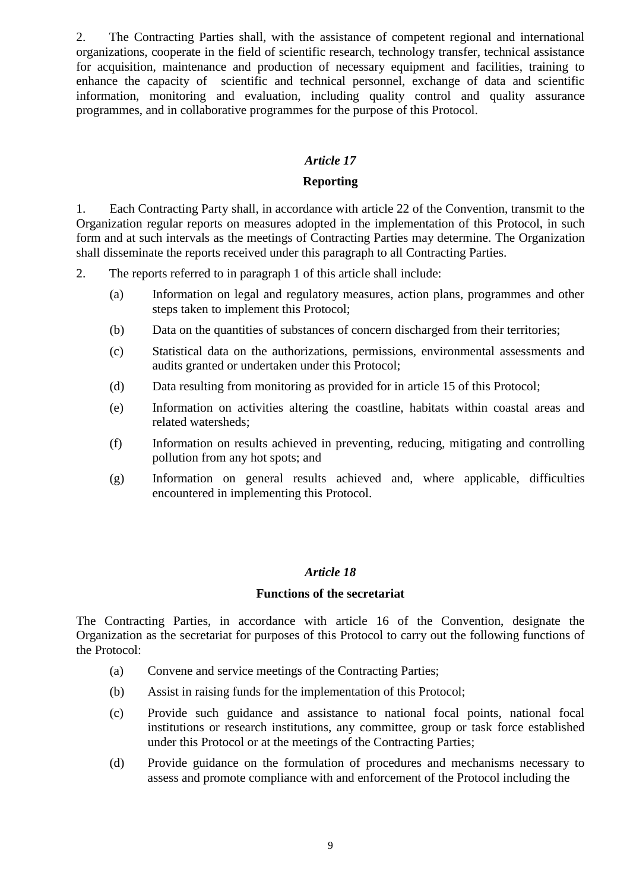2. The Contracting Parties shall, with the assistance of competent regional and international organizations, cooperate in the field of scientific research, technology transfer, technical assistance for acquisition, maintenance and production of necessary equipment and facilities, training to enhance the capacity of scientific and technical personnel, exchange of data and scientific information, monitoring and evaluation, including quality control and quality assurance programmes, and in collaborative programmes for the purpose of this Protocol.

## *Article 17*

### **Reporting**

1. Each Contracting Party shall, in accordance with article 22 of the Convention, transmit to the Organization regular reports on measures adopted in the implementation of this Protocol, in such form and at such intervals as the meetings of Contracting Parties may determine. The Organization shall disseminate the reports received under this paragraph to all Contracting Parties.

2. The reports referred to in paragraph 1 of this article shall include:

- (a) Information on legal and regulatory measures, action plans, programmes and other steps taken to implement this Protocol;
- (b) Data on the quantities of substances of concern discharged from their territories;
- (c) Statistical data on the authorizations, permissions, environmental assessments and audits granted or undertaken under this Protocol;
- (d) Data resulting from monitoring as provided for in article 15 of this Protocol;
- (e) Information on activities altering the coastline, habitats within coastal areas and related watersheds;
- (f) Information on results achieved in preventing, reducing, mitigating and controlling pollution from any hot spots; and
- (g) Information on general results achieved and, where applicable, difficulties encountered in implementing this Protocol.

#### *Article 18*

#### **Functions of the secretariat**

The Contracting Parties, in accordance with article 16 of the Convention, designate the Organization as the secretariat for purposes of this Protocol to carry out the following functions of the Protocol:

- (a) Convene and service meetings of the Contracting Parties;
- (b) Assist in raising funds for the implementation of this Protocol;
- (c) Provide such guidance and assistance to national focal points, national focal institutions or research institutions, any committee, group or task force established under this Protocol or at the meetings of the Contracting Parties;
- (d) Provide guidance on the formulation of procedures and mechanisms necessary to assess and promote compliance with and enforcement of the Protocol including the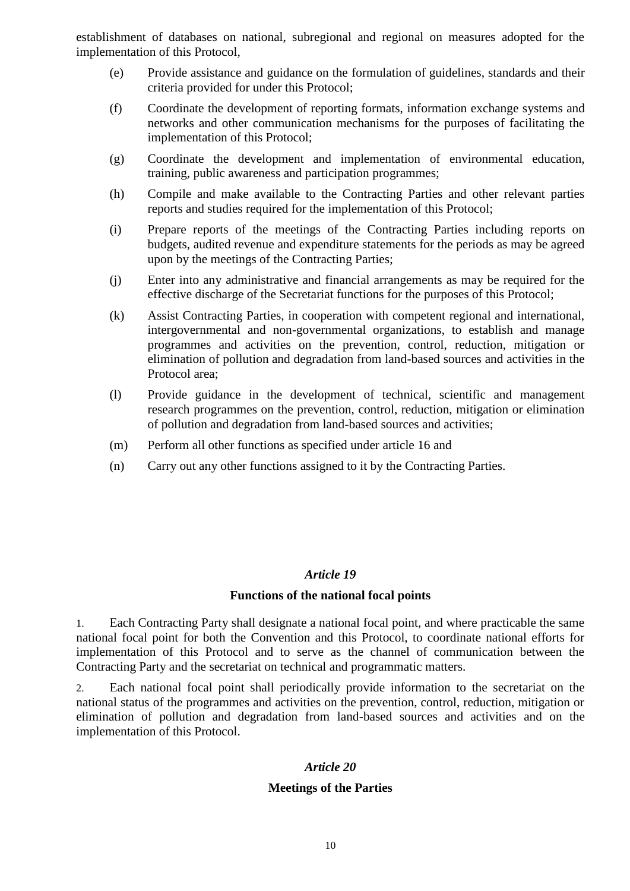establishment of databases on national, subregional and regional on measures adopted for the implementation of this Protocol,

- (e) Provide assistance and guidance on the formulation of guidelines, standards and their criteria provided for under this Protocol;
- (f) Coordinate the development of reporting formats, information exchange systems and networks and other communication mechanisms for the purposes of facilitating the implementation of this Protocol;
- (g) Coordinate the development and implementation of environmental education, training, public awareness and participation programmes;
- (h) Compile and make available to the Contracting Parties and other relevant parties reports and studies required for the implementation of this Protocol;
- (i) Prepare reports of the meetings of the Contracting Parties including reports on budgets, audited revenue and expenditure statements for the periods as may be agreed upon by the meetings of the Contracting Parties;
- (j) Enter into any administrative and financial arrangements as may be required for the effective discharge of the Secretariat functions for the purposes of this Protocol;
- (k) Assist Contracting Parties, in cooperation with competent regional and international, intergovernmental and non-governmental organizations, to establish and manage programmes and activities on the prevention, control, reduction, mitigation or elimination of pollution and degradation from land-based sources and activities in the Protocol area;
- (l) Provide guidance in the development of technical, scientific and management research programmes on the prevention, control, reduction, mitigation or elimination of pollution and degradation from land-based sources and activities;
- (m) Perform all other functions as specified under article 16 and
- (n) Carry out any other functions assigned to it by the Contracting Parties.

#### *Article 19*

#### **Functions of the national focal points**

1. Each Contracting Party shall designate a national focal point, and where practicable the same national focal point for both the Convention and this Protocol, to coordinate national efforts for implementation of this Protocol and to serve as the channel of communication between the Contracting Party and the secretariat on technical and programmatic matters.

2. Each national focal point shall periodically provide information to the secretariat on the national status of the programmes and activities on the prevention, control, reduction, mitigation or elimination of pollution and degradation from land-based sources and activities and on the implementation of this Protocol.

### *Article 20*

### **Meetings of the Parties**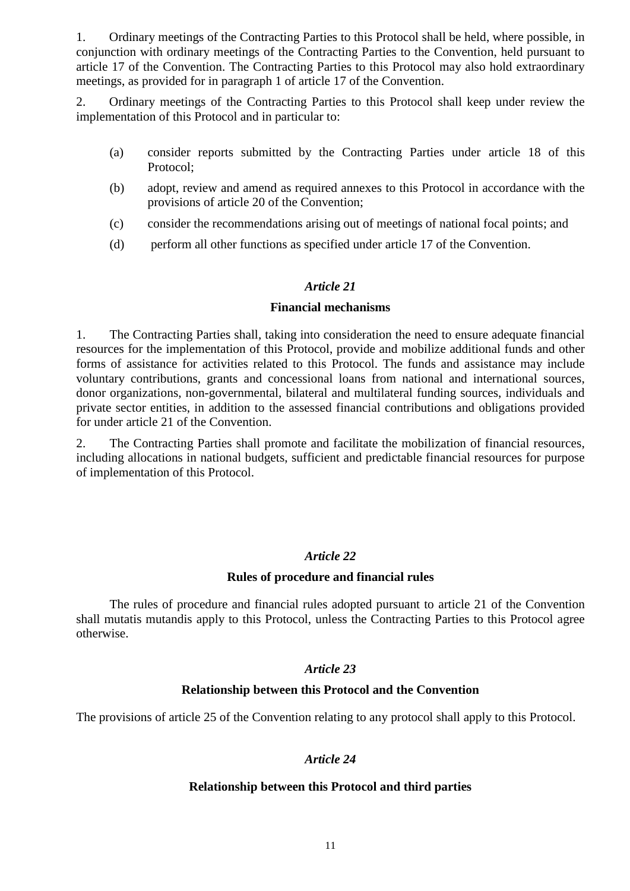1. Ordinary meetings of the Contracting Parties to this Protocol shall be held, where possible, in conjunction with ordinary meetings of the Contracting Parties to the Convention, held pursuant to article 17 of the Convention. The Contracting Parties to this Protocol may also hold extraordinary meetings, as provided for in paragraph 1 of article 17 of the Convention.

2. Ordinary meetings of the Contracting Parties to this Protocol shall keep under review the implementation of this Protocol and in particular to:

- (a) consider reports submitted by the Contracting Parties under article 18 of this Protocol;
- (b) adopt, review and amend as required annexes to this Protocol in accordance with the provisions of article 20 of the Convention;
- (c) consider the recommendations arising out of meetings of national focal points; and
- (d) perform all other functions as specified under article 17 of the Convention.

#### *Article 21*

#### **Financial mechanisms**

1. The Contracting Parties shall, taking into consideration the need to ensure adequate financial resources for the implementation of this Protocol, provide and mobilize additional funds and other forms of assistance for activities related to this Protocol. The funds and assistance may include voluntary contributions, grants and concessional loans from national and international sources, donor organizations, non-governmental, bilateral and multilateral funding sources, individuals and private sector entities, in addition to the assessed financial contributions and obligations provided for under article 21 of the Convention.

2. The Contracting Parties shall promote and facilitate the mobilization of financial resources, including allocations in national budgets, sufficient and predictable financial resources for purpose of implementation of this Protocol.

### *Article 22*

#### **Rules of procedure and financial rules**

The rules of procedure and financial rules adopted pursuant to article 21 of the Convention shall mutatis mutandis apply to this Protocol, unless the Contracting Parties to this Protocol agree otherwise.

#### *Article 23*

#### **Relationship between this Protocol and the Convention**

The provisions of article 25 of the Convention relating to any protocol shall apply to this Protocol.

### *Article 24*

#### **Relationship between this Protocol and third parties**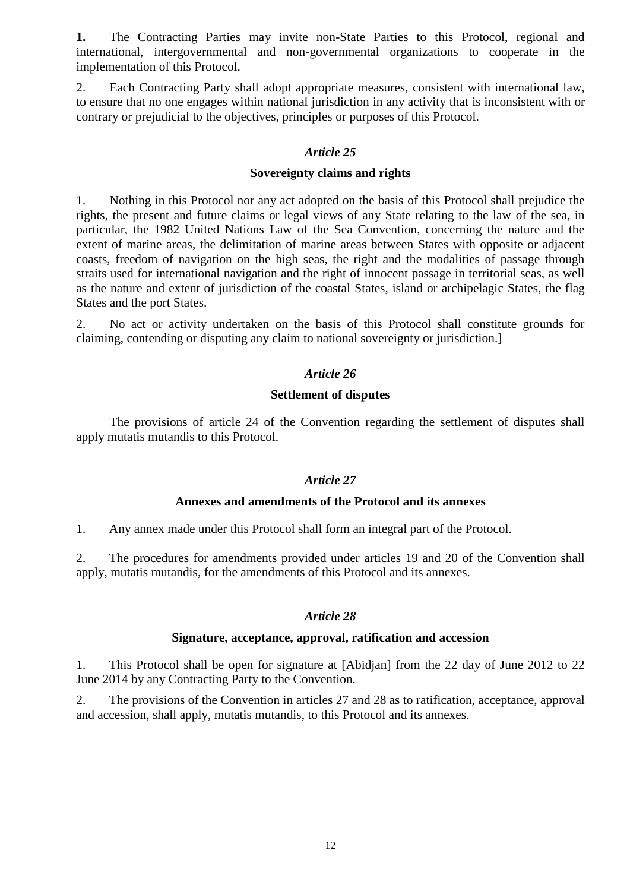**1.** The Contracting Parties may invite non-State Parties to this Protocol, regional and international, intergovernmental and non-governmental organizations to cooperate in the implementation of this Protocol.

2. Each Contracting Party shall adopt appropriate measures, consistent with international law, to ensure that no one engages within national jurisdiction in any activity that is inconsistent with or contrary or prejudicial to the objectives, principles or purposes of this Protocol.

#### *Article 25*

#### **Sovereignty claims and rights**

1. Nothing in this Protocol nor any act adopted on the basis of this Protocol shall prejudice the rights, the present and future claims or legal views of any State relating to the law of the sea, in particular, the 1982 United Nations Law of the Sea Convention, concerning the nature and the extent of marine areas, the delimitation of marine areas between States with opposite or adjacent coasts, freedom of navigation on the high seas, the right and the modalities of passage through straits used for international navigation and the right of innocent passage in territorial seas, as well as the nature and extent of jurisdiction of the coastal States, island or archipelagic States, the flag States and the port States.

2. No act or activity undertaken on the basis of this Protocol shall constitute grounds for claiming, contending or disputing any claim to national sovereignty or jurisdiction.]

#### *Article 26*

#### **Settlement of disputes**

The provisions of article 24 of the Convention regarding the settlement of disputes shall apply mutatis mutandis to this Protocol.

#### *Article 27*

#### **Annexes and amendments of the Protocol and its annexes**

1. Any annex made under this Protocol shall form an integral part of the Protocol.

2. The procedures for amendments provided under articles 19 and 20 of the Convention shall apply, mutatis mutandis, for the amendments of this Protocol and its annexes.

#### *Article 28*

#### **Signature, acceptance, approval, ratification and accession**

1. This Protocol shall be open for signature at [Abidjan] from the 22 day of June 2012 to 22 June 2014 by any Contracting Party to the Convention.

2. The provisions of the Convention in articles 27 and 28 as to ratification, acceptance, approval and accession, shall apply, mutatis mutandis, to this Protocol and its annexes.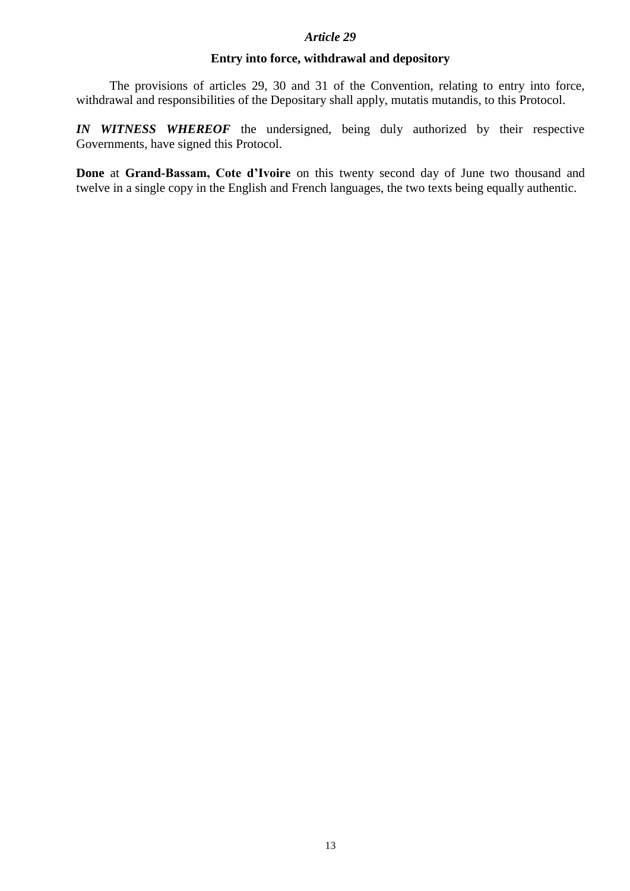## **Entry into force, withdrawal and depository**

The provisions of articles 29, 30 and 31 of the Convention, relating to entry into force, withdrawal and responsibilities of the Depositary shall apply, mutatis mutandis, to this Protocol.

*IN WITNESS WHEREOF* the undersigned, being duly authorized by their respective Governments, have signed this Protocol.

**Done** at **Grand-Bassam, Cote d'Ivoire** on this twenty second day of June two thousand and twelve in a single copy in the English and French languages, the two texts being equally authentic.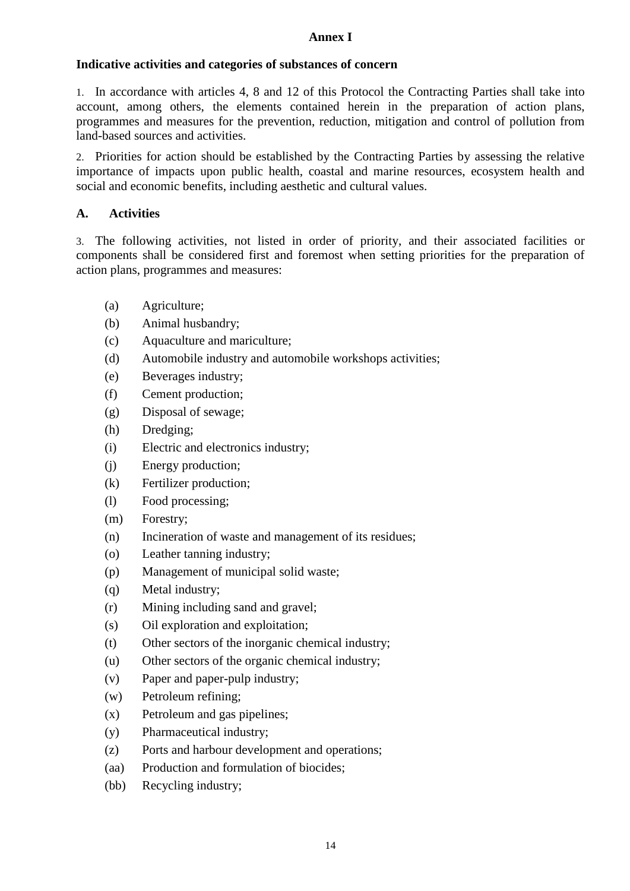## **Annex I**

## **Indicative activities and categories of substances of concern**

1. In accordance with articles 4, 8 and 12 of this Protocol the Contracting Parties shall take into account, among others, the elements contained herein in the preparation of action plans, programmes and measures for the prevention, reduction, mitigation and control of pollution from land-based sources and activities.

2. Priorities for action should be established by the Contracting Parties by assessing the relative importance of impacts upon public health, coastal and marine resources, ecosystem health and social and economic benefits, including aesthetic and cultural values.

## **A. Activities**

3. The following activities, not listed in order of priority, and their associated facilities or components shall be considered first and foremost when setting priorities for the preparation of action plans, programmes and measures:

- (a) Agriculture;
- (b) Animal husbandry;
- (c) Aquaculture and mariculture;
- (d) Automobile industry and automobile workshops activities;
- (e) Beverages industry;
- (f) Cement production;
- (g) Disposal of sewage;
- (h) Dredging;
- (i) Electric and electronics industry;
- (j) Energy production;
- (k) Fertilizer production;
- (l) Food processing;
- (m) Forestry;
- (n) Incineration of waste and management of its residues;
- (o) Leather tanning industry;
- (p) Management of municipal solid waste;
- (q) Metal industry;
- (r) Mining including sand and gravel;
- (s) Oil exploration and exploitation;
- (t) Other sectors of the inorganic chemical industry;
- (u) Other sectors of the organic chemical industry;
- (v) Paper and paper-pulp industry;
- (w) Petroleum refining;
- (x) Petroleum and gas pipelines;
- (y) Pharmaceutical industry;
- (z) Ports and harbour development and operations;
- (aa) Production and formulation of biocides;
- (bb) Recycling industry;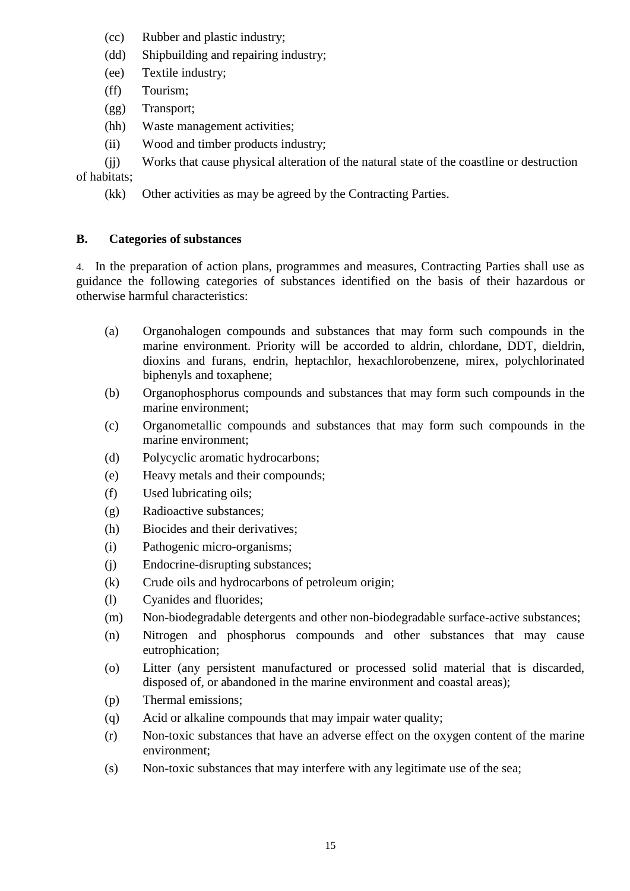- (cc) Rubber and plastic industry;
- (dd) Shipbuilding and repairing industry;
- (ee) Textile industry;
- (ff) Tourism;
- (gg) Transport;
- (hh) Waste management activities;
- (ii) Wood and timber products industry;

(jj) Works that cause physical alteration of the natural state of the coastline or destruction of habitats;

(kk) Other activities as may be agreed by the Contracting Parties.

### **B. Categories of substances**

4. In the preparation of action plans, programmes and measures, Contracting Parties shall use as guidance the following categories of substances identified on the basis of their hazardous or otherwise harmful characteristics:

- (a) Organohalogen compounds and substances that may form such compounds in the marine environment. Priority will be accorded to aldrin, chlordane, DDT, dieldrin, dioxins and furans, endrin, heptachlor, hexachlorobenzene, mirex, polychlorinated biphenyls and toxaphene;
- (b) Organophosphorus compounds and substances that may form such compounds in the marine environment;
- (c) Organometallic compounds and substances that may form such compounds in the marine environment;
- (d) Polycyclic aromatic hydrocarbons;
- (e) Heavy metals and their compounds;
- (f) Used lubricating oils;
- (g) Radioactive substances;
- (h) Biocides and their derivatives;
- (i) Pathogenic micro-organisms;
- (j) Endocrine-disrupting substances;
- (k) Crude oils and hydrocarbons of petroleum origin;
- (l) Cyanides and fluorides;
- (m) Non-biodegradable detergents and other non-biodegradable surface-active substances;
- (n) Nitrogen and phosphorus compounds and other substances that may cause eutrophication;
- (o) Litter (any persistent manufactured or processed solid material that is discarded, disposed of, or abandoned in the marine environment and coastal areas);
- (p) Thermal emissions;
- (q) Acid or alkaline compounds that may impair water quality;
- (r) Non-toxic substances that have an adverse effect on the oxygen content of the marine environment;
- (s) Non-toxic substances that may interfere with any legitimate use of the sea;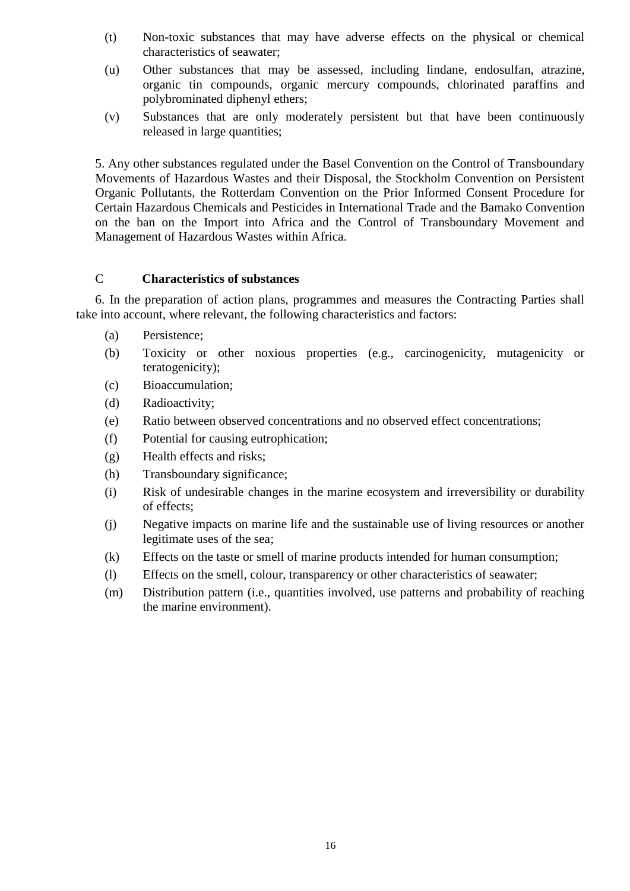- (t) Non-toxic substances that may have adverse effects on the physical or chemical characteristics of seawater;
- (u) Other substances that may be assessed, including lindane, endosulfan, atrazine, organic tin compounds, organic mercury compounds, chlorinated paraffins and polybrominated diphenyl ethers;
- (v) Substances that are only moderately persistent but that have been continuously released in large quantities;

5. Any other substances regulated under the Basel Convention on the Control of Transboundary Movements of Hazardous Wastes and their Disposal, the Stockholm Convention on Persistent Organic Pollutants, the Rotterdam Convention on the Prior Informed Consent Procedure for Certain Hazardous Chemicals and Pesticides in International Trade and the Bamako Convention on the ban on the Import into Africa and the Control of Transboundary Movement and Management of Hazardous Wastes within Africa.

### C **Characteristics of substances**

6. In the preparation of action plans, programmes and measures the Contracting Parties shall take into account, where relevant, the following characteristics and factors:

- (a) Persistence;
- (b) Toxicity or other noxious properties (e.g., carcinogenicity, mutagenicity or teratogenicity);
- (c) Bioaccumulation;
- (d) Radioactivity;
- (e) Ratio between observed concentrations and no observed effect concentrations;
- (f) Potential for causing eutrophication;
- (g) Health effects and risks;
- (h) Transboundary significance;
- (i) Risk of undesirable changes in the marine ecosystem and irreversibility or durability of effects;
- (j) Negative impacts on marine life and the sustainable use of living resources or another legitimate uses of the sea;
- (k) Effects on the taste or smell of marine products intended for human consumption;
- (l) Effects on the smell, colour, transparency or other characteristics of seawater;
- (m) Distribution pattern (i.e., quantities involved, use patterns and probability of reaching the marine environment).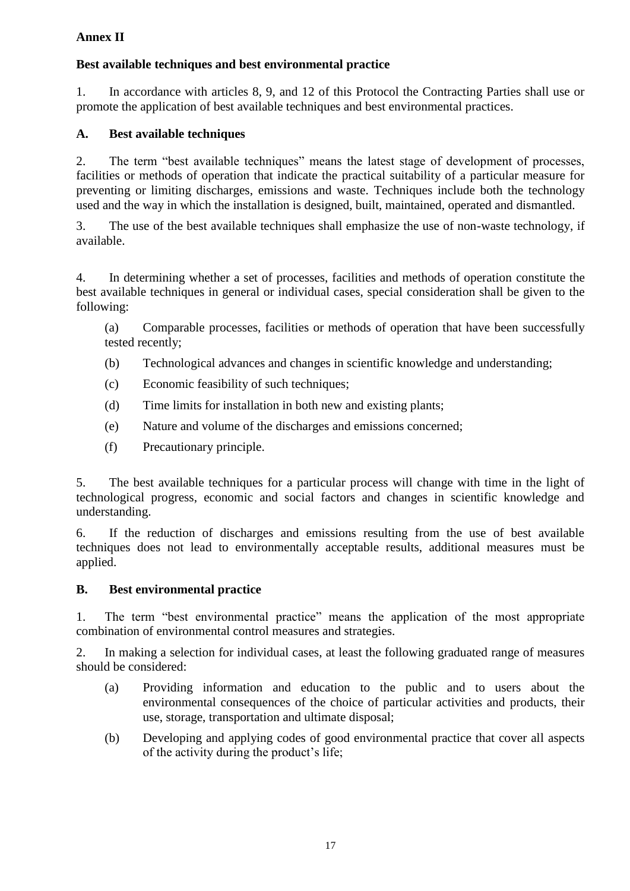# **Annex II**

# **Best available techniques and best environmental practice**

1. In accordance with articles 8, 9, and 12 of this Protocol the Contracting Parties shall use or promote the application of best available techniques and best environmental practices.

# **A. Best available techniques**

2. The term "best available techniques" means the latest stage of development of processes, facilities or methods of operation that indicate the practical suitability of a particular measure for preventing or limiting discharges, emissions and waste. Techniques include both the technology used and the way in which the installation is designed, built, maintained, operated and dismantled.

3. The use of the best available techniques shall emphasize the use of non-waste technology, if available.

4. In determining whether a set of processes, facilities and methods of operation constitute the best available techniques in general or individual cases, special consideration shall be given to the following:

(a) Comparable processes, facilities or methods of operation that have been successfully tested recently;

- (b) Technological advances and changes in scientific knowledge and understanding;
- (c) Economic feasibility of such techniques;
- (d) Time limits for installation in both new and existing plants;
- (e) Nature and volume of the discharges and emissions concerned;
- (f) Precautionary principle.

5. The best available techniques for a particular process will change with time in the light of technological progress, economic and social factors and changes in scientific knowledge and understanding.

6. If the reduction of discharges and emissions resulting from the use of best available techniques does not lead to environmentally acceptable results, additional measures must be applied.

### **B. Best environmental practice**

1. The term "best environmental practice" means the application of the most appropriate combination of environmental control measures and strategies.

2. In making a selection for individual cases, at least the following graduated range of measures should be considered:

- (a) Providing information and education to the public and to users about the environmental consequences of the choice of particular activities and products, their use, storage, transportation and ultimate disposal;
- (b) Developing and applying codes of good environmental practice that cover all aspects of the activity during the product's life;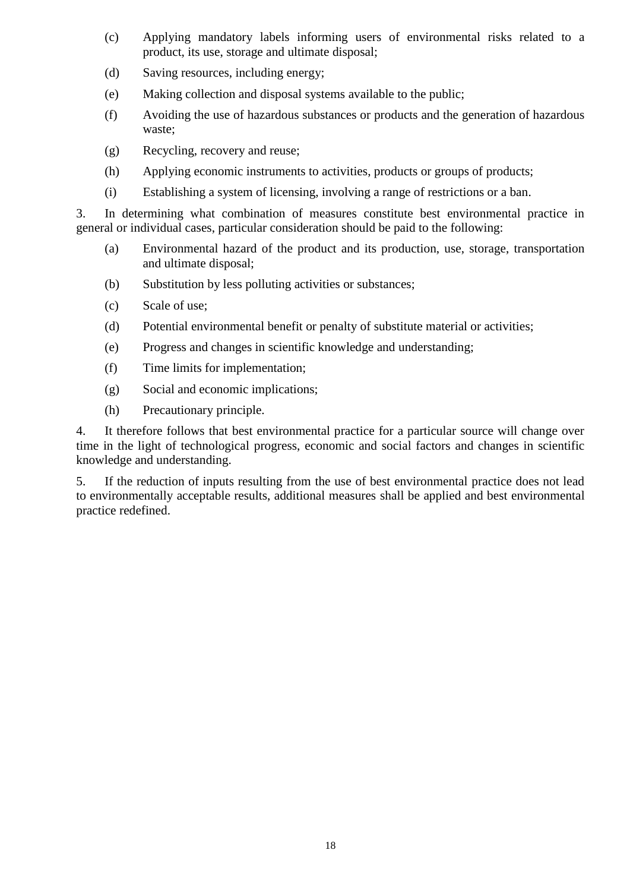- (c) Applying mandatory labels informing users of environmental risks related to a product, its use, storage and ultimate disposal;
- (d) Saving resources, including energy;
- (e) Making collection and disposal systems available to the public;
- (f) Avoiding the use of hazardous substances or products and the generation of hazardous waste;
- (g) Recycling, recovery and reuse;
- (h) Applying economic instruments to activities, products or groups of products;
- (i) Establishing a system of licensing, involving a range of restrictions or a ban.

3. In determining what combination of measures constitute best environmental practice in general or individual cases, particular consideration should be paid to the following:

- (a) Environmental hazard of the product and its production, use, storage, transportation and ultimate disposal;
- (b) Substitution by less polluting activities or substances;
- (c) Scale of use;
- (d) Potential environmental benefit or penalty of substitute material or activities;
- (e) Progress and changes in scientific knowledge and understanding;
- (f) Time limits for implementation;
- (g) Social and economic implications;
- (h) Precautionary principle.

4. It therefore follows that best environmental practice for a particular source will change over time in the light of technological progress, economic and social factors and changes in scientific knowledge and understanding.

5. If the reduction of inputs resulting from the use of best environmental practice does not lead to environmentally acceptable results, additional measures shall be applied and best environmental practice redefined.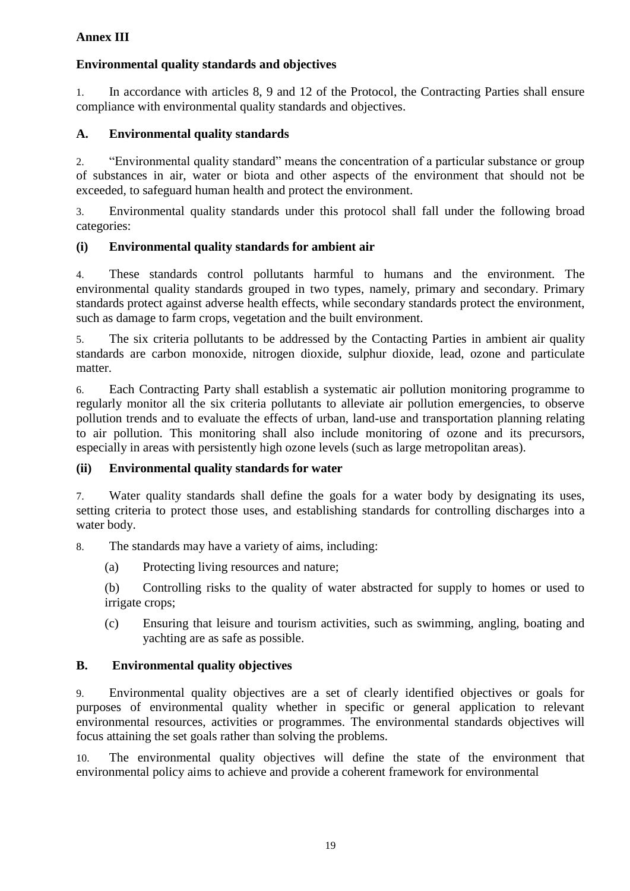# **Annex III**

# **Environmental quality standards and objectives**

1. In accordance with articles 8, 9 and 12 of the Protocol, the Contracting Parties shall ensure compliance with environmental quality standards and objectives.

# **A. Environmental quality standards**

2. "Environmental quality standard" means the concentration of a particular substance or group of substances in air, water or biota and other aspects of the environment that should not be exceeded, to safeguard human health and protect the environment.

3. Environmental quality standards under this protocol shall fall under the following broad categories:

### **(i) Environmental quality standards for ambient air**

4. These standards control pollutants harmful to humans and the environment. The environmental quality standards grouped in two types, namely, primary and secondary. Primary standards protect against adverse health effects, while secondary standards protect the environment, such as damage to farm crops, vegetation and the built environment.

5. The six criteria pollutants to be addressed by the Contacting Parties in ambient air quality standards are carbon monoxide, nitrogen dioxide, sulphur dioxide, lead, ozone and particulate matter.

6. Each Contracting Party shall establish a systematic air pollution monitoring programme to regularly monitor all the six criteria pollutants to alleviate air pollution emergencies, to observe pollution trends and to evaluate the effects of urban, land-use and transportation planning relating to air pollution. This monitoring shall also include monitoring of ozone and its precursors, especially in areas with persistently high ozone levels (such as large metropolitan areas).

### **(ii) Environmental quality standards for water**

7. Water quality standards shall define the goals for a water body by designating its uses, setting criteria to protect those uses, and establishing standards for controlling discharges into a water body.

8. The standards may have a variety of aims, including:

(a) Protecting living resources and nature;

(b) Controlling risks to the quality of water abstracted for supply to homes or used to irrigate crops;

(c) Ensuring that leisure and tourism activities, such as swimming, angling, boating and yachting are as safe as possible.

### **B. Environmental quality objectives**

9. Environmental quality objectives are a set of clearly identified objectives or goals for purposes of environmental quality whether in specific or general application to relevant environmental resources, activities or programmes. The environmental standards objectives will focus attaining the set goals rather than solving the problems.

10. The environmental quality objectives will define the state of the environment that environmental policy aims to achieve and provide a coherent framework for environmental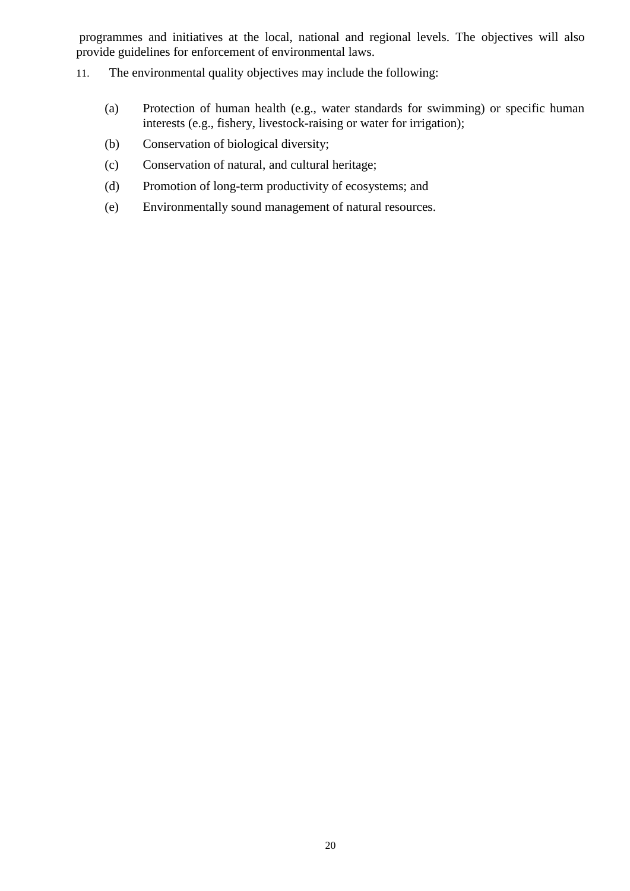programmes and initiatives at the local, national and regional levels. The objectives will also provide guidelines for enforcement of environmental laws.

- 11. The environmental quality objectives may include the following:
	- (a) Protection of human health (e.g., water standards for swimming) or specific human interests (e.g., fishery, livestock-raising or water for irrigation);
	- (b) Conservation of biological diversity;
	- (c) Conservation of natural, and cultural heritage;
	- (d) Promotion of long-term productivity of ecosystems; and
	- (e) Environmentally sound management of natural resources.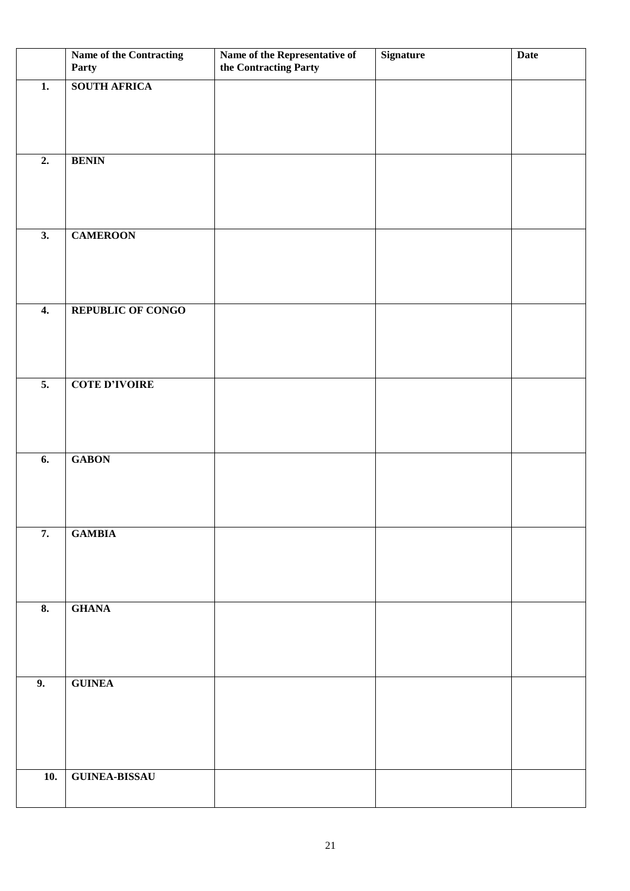|                           | Name of the Contracting<br>Party | Name of the Representative of<br>the Contracting Party | <b>Signature</b> | <b>Date</b> |
|---------------------------|----------------------------------|--------------------------------------------------------|------------------|-------------|
| $\overline{1}$ .          | <b>SOUTH AFRICA</b>              |                                                        |                  |             |
|                           |                                  |                                                        |                  |             |
|                           |                                  |                                                        |                  |             |
|                           |                                  |                                                        |                  |             |
| $\overline{2}$ .          | <b>BENIN</b>                     |                                                        |                  |             |
|                           |                                  |                                                        |                  |             |
|                           |                                  |                                                        |                  |             |
| $\overline{3}$ .          | <b>CAMEROON</b>                  |                                                        |                  |             |
|                           |                                  |                                                        |                  |             |
|                           |                                  |                                                        |                  |             |
|                           |                                  |                                                        |                  |             |
| $\overline{4}$ .          | <b>REPUBLIC OF CONGO</b>         |                                                        |                  |             |
|                           |                                  |                                                        |                  |             |
|                           |                                  |                                                        |                  |             |
|                           |                                  |                                                        |                  |             |
| $\overline{5}$ .          | <b>COTE D'IVOIRE</b>             |                                                        |                  |             |
|                           |                                  |                                                        |                  |             |
|                           |                                  |                                                        |                  |             |
| $\overline{6}$ .          | <b>GABON</b>                     |                                                        |                  |             |
|                           |                                  |                                                        |                  |             |
|                           |                                  |                                                        |                  |             |
|                           |                                  |                                                        |                  |             |
| 7.                        | <b>GAMBIA</b>                    |                                                        |                  |             |
|                           |                                  |                                                        |                  |             |
|                           |                                  |                                                        |                  |             |
| $\overline{\mathbf{8}}$ . | <b>GHANA</b>                     |                                                        |                  |             |
|                           |                                  |                                                        |                  |             |
|                           |                                  |                                                        |                  |             |
|                           |                                  |                                                        |                  |             |
| 9.                        | <b>GUINEA</b>                    |                                                        |                  |             |
|                           |                                  |                                                        |                  |             |
|                           |                                  |                                                        |                  |             |
|                           |                                  |                                                        |                  |             |
| 10.                       | <b>GUINEA-BISSAU</b>             |                                                        |                  |             |
|                           |                                  |                                                        |                  |             |
|                           |                                  |                                                        |                  |             |